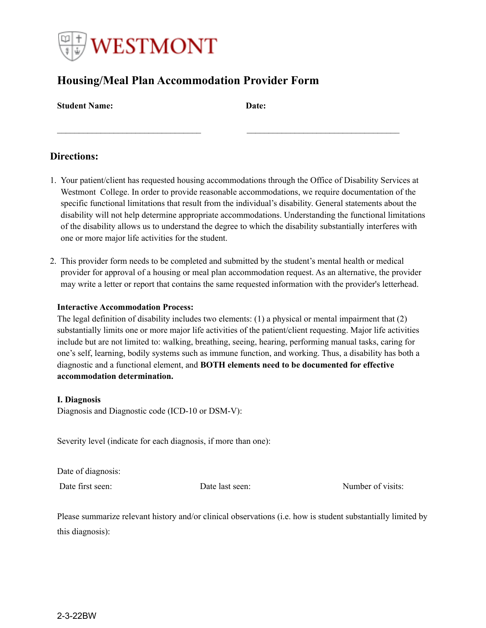

# **Housing/Meal Plan Accommodation Provider Form**

| <b>Student Name:</b> | Date: |
|----------------------|-------|
|----------------------|-------|

# **Directions:**

1. Your patient/client has requested housing accommodations through the Office of Disability Services at Westmont College. In order to provide reasonable accommodations, we require documentation of the specific functional limitations that result from the individual's disability. General statements about the disability will not help determine appropriate accommodations. Understanding the functional limitations of the disability allows us to understand the degree to which the disability substantially interferes with one or more major life activities for the student.

\_\_\_\_\_\_\_\_\_\_\_\_\_\_\_\_\_\_\_\_\_\_\_\_\_\_\_\_\_\_\_\_\_ \_\_\_\_\_\_\_\_\_\_\_\_\_\_\_\_\_\_\_\_\_\_\_\_\_\_\_\_\_\_\_\_\_\_\_

2. This provider form needs to be completed and submitted by the student's mental health or medical provider for approval of a housing or meal plan accommodation request. As an alternative, the provider may write a letter or report that contains the same requested information with the provider's letterhead.

## **Interactive Accommodation Process:**

The legal definition of disability includes two elements: (1) a physical or mental impairment that (2) substantially limits one or more major life activities of the patient/client requesting. Major life activities include but are not limited to: walking, breathing, seeing, hearing, performing manual tasks, caring for one's self, learning, bodily systems such as immune function, and working. Thus, a disability has both a diagnostic and a functional element, and **BOTH elements need to be documented for effective accommodation determination.**

#### **I. Diagnosis**

Diagnosis and Diagnostic code (ICD-10 or DSM-V):

Severity level (indicate for each diagnosis, if more than one):

Date of diagnosis:

Date first seen: Date last seen: Number of visits:

Please summarize relevant history and/or clinical observations (i.e. how is student substantially limited by this diagnosis):